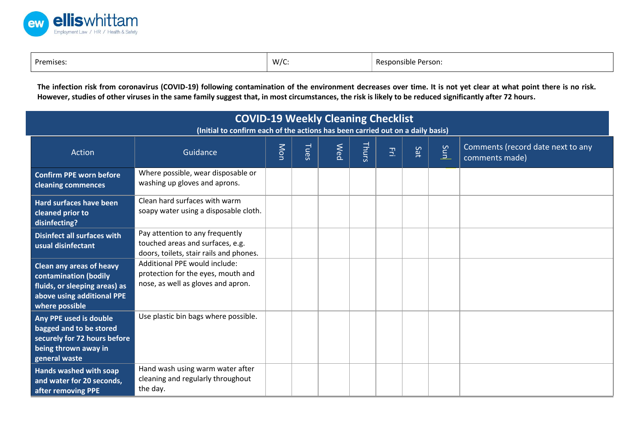

| Premises.<br>. | W/c<br>ັບ | Resr<br>Person.<br>onsible |
|----------------|-----------|----------------------------|
|----------------|-----------|----------------------------|

**The infection risk from coronavirus (COVID-19) following contamination of the environment decreases over time. It is not yet clear at what point there is no risk. However, studies of other viruses in the same family suggest that, in most circumstances, the risk is likely to be reduced significantly after 72 hours.**

| <b>COVID-19 Weekly Cleaning Checklist</b><br>(Initial to confirm each of the actions has been carried out on a daily basis)               |                                                                                                                |     |      |            |       |       |     |     |                                                     |
|-------------------------------------------------------------------------------------------------------------------------------------------|----------------------------------------------------------------------------------------------------------------|-----|------|------------|-------|-------|-----|-----|-----------------------------------------------------|
| Action                                                                                                                                    | Guidance                                                                                                       | Mon | Tues | <b>Med</b> | Thurs | $\Xi$ | Sat | Sun | Comments (record date next to any<br>comments made) |
| <b>Confirm PPE worn before</b><br>cleaning commences                                                                                      | Where possible, wear disposable or<br>washing up gloves and aprons.                                            |     |      |            |       |       |     |     |                                                     |
| <b>Hard surfaces have been</b><br>cleaned prior to<br>disinfecting?                                                                       | Clean hard surfaces with warm<br>soapy water using a disposable cloth.                                         |     |      |            |       |       |     |     |                                                     |
| <b>Disinfect all surfaces with</b><br>usual disinfectant                                                                                  | Pay attention to any frequently<br>touched areas and surfaces, e.g.<br>doors, toilets, stair rails and phones. |     |      |            |       |       |     |     |                                                     |
| <b>Clean any areas of heavy</b><br>contamination (bodily<br>fluids, or sleeping areas) as<br>above using additional PPE<br>where possible | Additional PPE would include:<br>protection for the eyes, mouth and<br>nose, as well as gloves and apron.      |     |      |            |       |       |     |     |                                                     |
| Any PPE used is double<br>bagged and to be stored<br>securely for 72 hours before<br>being thrown away in<br>general waste                | Use plastic bin bags where possible.                                                                           |     |      |            |       |       |     |     |                                                     |
| Hands washed with soap<br>and water for 20 seconds,<br>after removing PPE                                                                 | Hand wash using warm water after<br>cleaning and regularly throughout<br>the day.                              |     |      |            |       |       |     |     |                                                     |